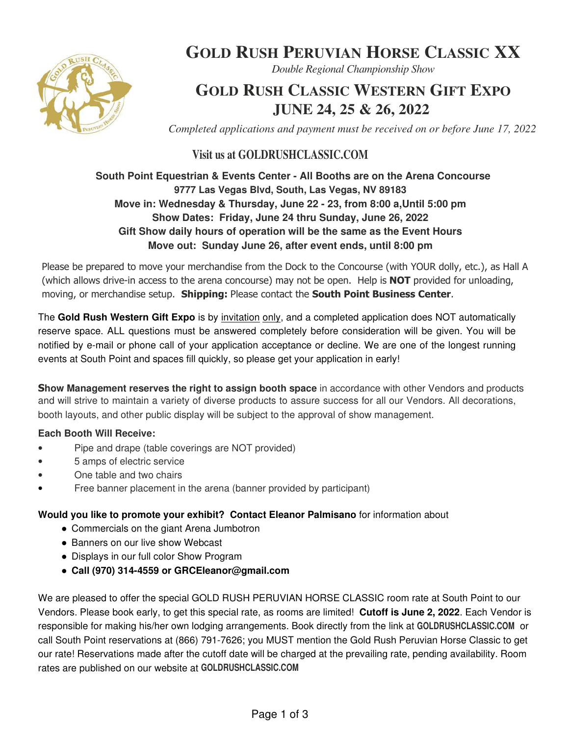

# **GOLD RUSH PERUVIAN HORSE CLASSIC XX**

*Double Regional Championship Show*

## **GOLD RUSH CLASSIC WESTERN GIFT EXPO JUNE 24, 25 & 26, 2022**

*Completed applications and payment must be received on or before June 17, 2022*

## **Visit us at GOLDRUSHCLASSIC.COM**

#### **South Point Equestrian & Events Center - All Booths are on the Arena Concourse 9777 Las Vegas Blvd, South, Las Vegas, NV 89183 Move in: Wednesday & Thursday, June 22 - 23, from 8:00 a,Until 5:00 pm Show Dates: Friday, June 24 thru Sunday, June 26, 2022 Gift Show daily hours of operation will be the same as the Event Hours Move out: Sunday June 26, after event ends, until 8:00 pm**

Please be prepared to move your merchandise from the Dock to the Concourse (with YOUR dolly, etc.), as Hall A (which allows drive-in access to the arena concourse) may not be open. Help is **NOT** provided for unloading, moving, or merchandise setup. Shipping: Please contact the South Point Business Center.

The **Gold Rush Western Gift Expo** is by invitation only, and a completed application does NOT automatically reserve space. ALL questions must be answered completely before consideration will be given. You will be notified by e-mail or phone call of your application acceptance or decline. We are one of the longest running events at South Point and spaces fill quickly, so please get your application in early!

**Show Management reserves the right to assign booth space** in accordance with other Vendors and products and will strive to maintain a variety of diverse products to assure success for all our Vendors. All decorations, booth layouts, and other public display will be subject to the approval of show management.

#### **Each Booth Will Receive:**

- Pipe and drape (table coverings are NOT provided)
- 5 amps of electric service
- One table and two chairs
- Free banner placement in the arena (banner provided by participant)

#### **Would you like to promote your exhibit? Contact Eleanor Palmisano** for information about

- Commercials on the giant Arena Jumbotron
- Banners on our live show Webcast
- Displays in our full color Show Program
- **Call (970) 314-4559 or GRCEleanor@gmail.com**

We are pleased to offer the special GOLD RUSH PERUVIAN HORSE CLASSIC room rate at South Point to our Vendors. Please book early, to get this special rate, as rooms are limited! **Cutoff is June 2, 2022**. Each Vendor is responsible for making his/her own lodging arrangements. Book directly from the link at **GOLDRUSHCLASSIC.COM** or call South Point reservations at (866) 791-7626; you MUST mention the Gold Rush Peruvian Horse Classic to get our rate! Reservations made after the cutoff date will be charged at the prevailing rate, pending availability. Room rates are published on our website at **GOLDRUSHCLASSIC.COM**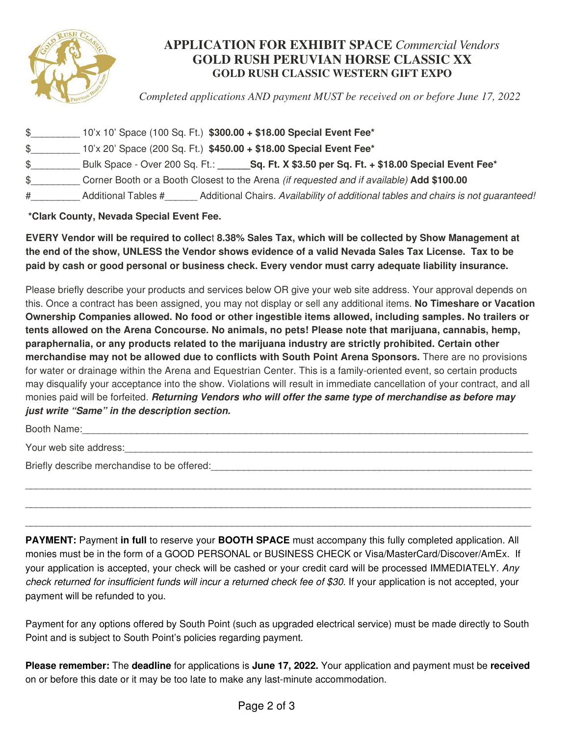

### **APPLICATION FOR EXHIBIT SPACE** *Commercial Vendors* **GOLD RUSH PERUVIAN HORSE CLASSIC XX GOLD RUSH CLASSIC WESTERN GIFT EXPO**

*Completed applications AND payment MUST be received on or before June 17, 2022*

| \$ |                                | 10'x 10' Space (100 Sq. Ft.) \$300.00 + \$18.00 Special Event Fee*                        |
|----|--------------------------------|-------------------------------------------------------------------------------------------|
| \$ |                                | 10'x 20' Space (200 Sq. Ft.) \$450.00 + \$18.00 Special Event Fee*                        |
| \$ | Bulk Space - Over 200 Sq. Ft.: | Sq. Ft. X \$3.50 per Sq. Ft. + \$18.00 Special Event Fee*                                 |
|    |                                | Corner Booth or a Booth Closest to the Arena (if requested and if available) Add \$100.00 |
| #  | Additional Tables #            | Additional Chairs. Availability of additional tables and chairs is not guaranteed!        |

 **\*Clark County, Nevada Special Event Fee.**

**EVERY Vendor will be required to collec**t **8.38% Sales Tax, which will be collected by Show Management at the end of the show, UNLESS the Vendor shows evidence of a valid Nevada Sales Tax License. Tax to be paid by cash or good personal or business check. Every vendor must carry adequate liability insurance.**

Please briefly describe your products and services below OR give your web site address. Your approval depends on this. Once a contract has been assigned, you may not display or sell any additional items. **No Timeshare or Vacation Ownership Companies allowed. No food or other ingestible items allowed, including samples. No trailers or tents allowed on the Arena Concourse. No animals, no pets! Please note that marijuana, cannabis, hemp, paraphernalia, or any products related to the marijuana industry are strictly prohibited. Certain other merchandise may not be allowed due to conflicts with South Point Arena Sponsors.** There are no provisions for water or drainage within the Arena and Equestrian Center. This is a family-oriented event, so certain products may disqualify your acceptance into the show. Violations will result in immediate cancellation of your contract, and all monies paid will be forfeited*.* **Returning Vendors who will offer the same type of merchandise as before may just write "Same" in the description section.**

Booth Name:

Your web site address:

Briefly describe merchandise to be offered:

**PAYMENT:** Payment **in full** to reserve your **BOOTH SPACE** must accompany this fully completed application. All monies must be in the form of a GOOD PERSONAL or BUSINESS CHECK or Visa/MasterCard/Discover/AmEx. If your application is accepted, your check will be cashed or your credit card will be processed IMMEDIATELY. *Any check returned for insufficient funds will incur a returned check fee of \$30.* If your application is not accepted, your payment will be refunded to you.

\_\_\_\_\_\_\_\_\_\_\_\_\_\_\_\_\_\_\_\_\_\_\_\_\_\_\_\_\_\_\_\_\_\_\_\_\_\_\_\_\_\_\_\_\_\_\_\_\_\_\_\_\_\_\_\_\_\_\_\_\_\_\_\_\_\_\_\_\_\_\_\_\_\_\_\_\_\_\_\_\_\_\_\_\_\_\_\_\_\_\_\_\_

\_\_\_\_\_\_\_\_\_\_\_\_\_\_\_\_\_\_\_\_\_\_\_\_\_\_\_\_\_\_\_\_\_\_\_\_\_\_\_\_\_\_\_\_\_\_\_\_\_\_\_\_\_\_\_\_\_\_\_\_\_\_\_\_\_\_\_\_\_\_\_\_\_\_\_\_\_\_\_\_\_\_\_\_\_\_\_\_\_\_\_\_\_ \_\_\_\_\_\_\_\_\_\_\_\_\_\_\_\_\_\_\_\_\_\_\_\_\_\_\_\_\_\_\_\_\_\_\_\_\_\_\_\_\_\_\_\_\_\_\_\_\_\_\_\_\_\_\_\_\_\_\_\_\_\_\_\_\_\_\_\_\_\_\_\_\_\_\_\_\_\_\_\_\_\_\_\_\_\_\_\_\_\_\_\_\_

Payment for any options offered by South Point (such as upgraded electrical service) must be made directly to South Point and is subject to South Point's policies regarding payment.

**Please remember:** The **deadline** for applications is **June 17, 2022.** Your application and payment must be **received** on or before this date or it may be too late to make any last-minute accommodation.